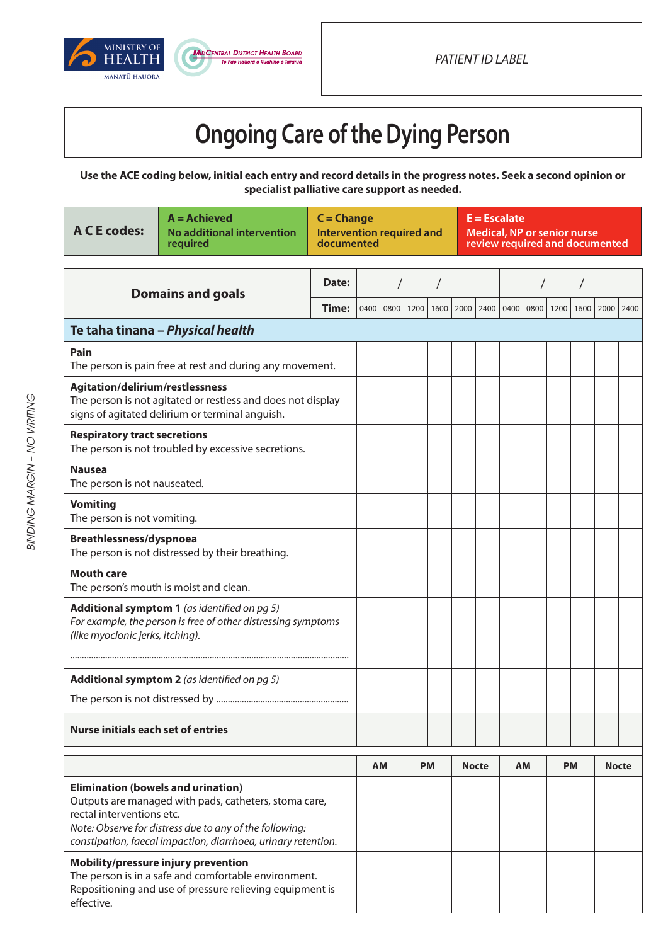



## **Ongoing Care of the Dying Person**

**Use the ACE coding below, initial each entry and record details in the progress notes. Seek a second opinion or specialist palliative care support as needed.**

| <b>A C E codes:</b>                                                                                                                                                   | $A =$ Achieved<br>No additional intervention<br>required                                                                                                                          | $C = Change$ | <b>Intervention required and</b><br>documented |           |      |           |      | $E = Escalate$<br><b>Medical, NP or senior nurse</b><br>review required and documented |      |           |      |           |      |              |  |
|-----------------------------------------------------------------------------------------------------------------------------------------------------------------------|-----------------------------------------------------------------------------------------------------------------------------------------------------------------------------------|--------------|------------------------------------------------|-----------|------|-----------|------|----------------------------------------------------------------------------------------|------|-----------|------|-----------|------|--------------|--|
| <b>Domains and goals</b>                                                                                                                                              |                                                                                                                                                                                   | Date:        |                                                |           |      |           |      |                                                                                        |      |           |      |           |      |              |  |
|                                                                                                                                                                       |                                                                                                                                                                                   | Time:        | 0400                                           | 0800      | 1200 | 1600      | 2000 | 2400                                                                                   | 0400 | 0800      | 1200 | 1600      | 2000 | 2400         |  |
|                                                                                                                                                                       | Te taha tinana - Physical health                                                                                                                                                  |              |                                                |           |      |           |      |                                                                                        |      |           |      |           |      |              |  |
| Pain<br>The person is pain free at rest and during any movement.                                                                                                      |                                                                                                                                                                                   |              |                                                |           |      |           |      |                                                                                        |      |           |      |           |      |              |  |
| Agitation/delirium/restlessness<br>The person is not agitated or restless and does not display<br>signs of agitated delirium or terminal anguish.                     |                                                                                                                                                                                   |              |                                                |           |      |           |      |                                                                                        |      |           |      |           |      |              |  |
| <b>Respiratory tract secretions</b><br>The person is not troubled by excessive secretions.                                                                            |                                                                                                                                                                                   |              |                                                |           |      |           |      |                                                                                        |      |           |      |           |      |              |  |
| <b>Nausea</b><br>The person is not nauseated.                                                                                                                         |                                                                                                                                                                                   |              |                                                |           |      |           |      |                                                                                        |      |           |      |           |      |              |  |
| <b>Vomiting</b><br>The person is not vomiting.                                                                                                                        |                                                                                                                                                                                   |              |                                                |           |      |           |      |                                                                                        |      |           |      |           |      |              |  |
| Breathlessness/dyspnoea<br>The person is not distressed by their breathing.                                                                                           |                                                                                                                                                                                   |              |                                                |           |      |           |      |                                                                                        |      |           |      |           |      |              |  |
| <b>Mouth care</b><br>The person's mouth is moist and clean.                                                                                                           |                                                                                                                                                                                   |              |                                                |           |      |           |      |                                                                                        |      |           |      |           |      |              |  |
| <b>Additional symptom 1</b> (as identified on pg 5)<br>For example, the person is free of other distressing symptoms<br>(like myoclonic jerks, itching).              |                                                                                                                                                                                   |              |                                                |           |      |           |      |                                                                                        |      |           |      |           |      |              |  |
|                                                                                                                                                                       |                                                                                                                                                                                   |              |                                                |           |      |           |      |                                                                                        |      |           |      |           |      |              |  |
| <b>Additional symptom 2</b> (as identified on $pq 5$ )                                                                                                                |                                                                                                                                                                                   |              |                                                |           |      |           |      |                                                                                        |      |           |      |           |      |              |  |
|                                                                                                                                                                       |                                                                                                                                                                                   |              |                                                |           |      |           |      |                                                                                        |      |           |      |           |      |              |  |
| <b>Nurse initials each set of entries</b>                                                                                                                             |                                                                                                                                                                                   |              |                                                |           |      |           |      |                                                                                        |      |           |      |           |      |              |  |
|                                                                                                                                                                       |                                                                                                                                                                                   |              |                                                | <b>AM</b> |      | <b>PM</b> |      | <b>Nocte</b>                                                                           |      | <b>AM</b> |      | <b>PM</b> |      | <b>Nocte</b> |  |
| <b>Elimination (bowels and urination)</b><br>rectal interventions etc.                                                                                                | Outputs are managed with pads, catheters, stoma care,<br>Note: Observe for distress due to any of the following:<br>constipation, faecal impaction, diarrhoea, urinary retention. |              |                                                |           |      |           |      |                                                                                        |      |           |      |           |      |              |  |
| Mobility/pressure injury prevention<br>The person is in a safe and comfortable environment.<br>Repositioning and use of pressure relieving equipment is<br>effective. |                                                                                                                                                                                   |              |                                                |           |      |           |      |                                                                                        |      |           |      |           |      |              |  |